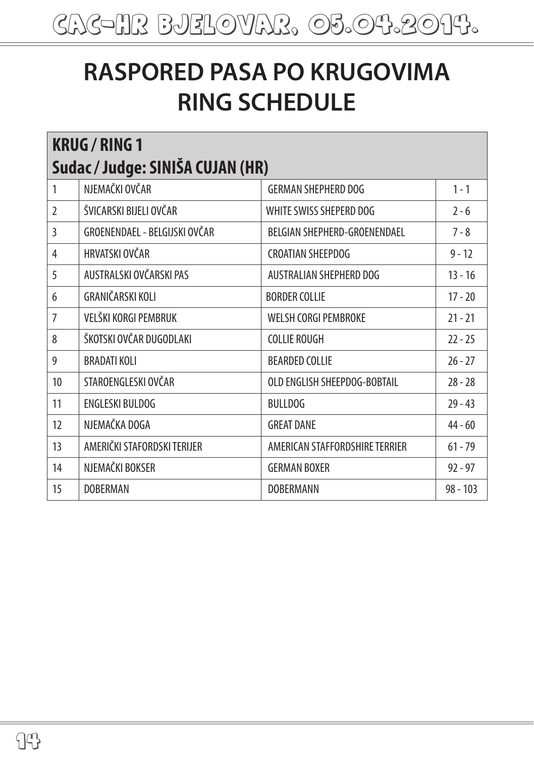## **RASPORED PASA PO KRUGOVIMA RING SCHEDULE**

| <b>KRUG / RING 1</b><br>Sudac / Judge: SINIŠA CUJAN (HR) |                               |                                |            |
|----------------------------------------------------------|-------------------------------|--------------------------------|------------|
| 1                                                        | NJEMAČKI OVČAR                | <b>GERMAN SHEPHERD DOG</b>     | $1 - 1$    |
| $\overline{2}$                                           | ŠVICARSKI BIJELI OVČAR        | WHITE SWISS SHEPERD DOG        | $2 - 6$    |
| 3                                                        | GROENENDAEL - BELGIJSKI OVČAR | BELGIAN SHEPHERD-GROENENDAEL   | $7 - 8$    |
| $\overline{4}$                                           | HRVATSKI OVČAR                | <b>CROATIAN SHEEPDOG</b>       | $9 - 12$   |
| 5                                                        | AUSTRALSKI OVČARSKI PAS       | AUSTRALIAN SHEPHERD DOG        | $13 - 16$  |
| 6                                                        | GRANIČARSKI KOLI              | <b>BORDER COLLIE</b>           | $17 - 20$  |
| 7                                                        | VELŠKI KORGI PEMBRUK          | <b>WELSH CORGI PEMBROKE</b>    | $21 - 21$  |
| 8                                                        | ŠKOTSKI OVČAR DUGODLAKI       | <b>COLLIE ROUGH</b>            | $22 - 25$  |
| 9                                                        | <b>BRADATI KOLI</b>           | <b>BEARDED COLLIE</b>          | $76 - 77$  |
| 10                                                       | STAROENGLESKI OVČAR           | OLD ENGLISH SHEEPDOG-BOBTAIL   | $28 - 28$  |
| 11                                                       | <b>ENGLESKI BULDOG</b>        | <b>BULLDOG</b>                 | $29 - 43$  |
| 12                                                       | NJEMAČKA DOGA                 | <b>GREAT DANE</b>              | $44 - 60$  |
| 13                                                       | AMERIČKI STAFORDSKI TERIJER   | AMERICAN STAFFORDSHIRE TERRIER | $61 - 79$  |
| 14                                                       | NJEMAČKI BOKSER               | <b>GERMAN BOXER</b>            | $92 - 97$  |
| 15                                                       | <b>DOBERMAN</b>               | <b>DOBERMANN</b>               | $98 - 103$ |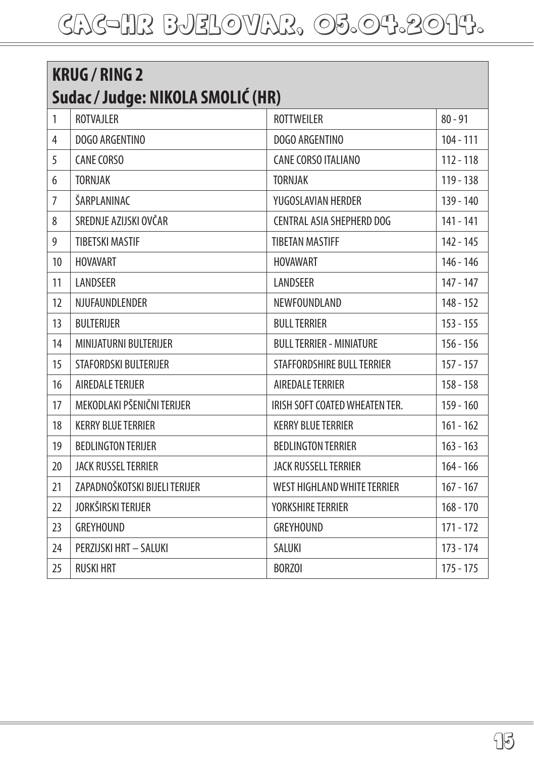| <b>KRUG / RING 2</b>              |                               |                                    |             |
|-----------------------------------|-------------------------------|------------------------------------|-------------|
| Sudac / Judge: NIKOLA SMOLIĆ (HR) |                               |                                    |             |
| $\mathbf{1}$                      | <b>ROTVAJLER</b>              | <b>ROTTWEILER</b>                  | $80 - 91$   |
| 4                                 | DOGO ARGENTINO                | DOGO ARGENTINO                     | $104 - 111$ |
| 5                                 | <b>CANE CORSO</b>             | <b>CANE CORSO ITALIANO</b>         | $112 - 118$ |
| 6                                 | <b>TORNJAK</b>                | <b>TORNJAK</b>                     | $119 - 138$ |
| $\overline{7}$                    | ŠARPLANINAC                   | YUGOSLAVIAN HERDER                 | $139 - 140$ |
| 8                                 | SREDNJE AZIJSKI OVČAR         | CENTRAL ASIA SHEPHERD DOG          | 141 - 141   |
| 9                                 | <b>TIBETSKI MASTIF</b>        | <b>TIBETAN MASTIFF</b>             | $142 - 145$ |
| 10                                | <b>HOVAVART</b>               | <b>HOVAWART</b>                    | 146 - 146   |
| 11                                | LANDSEER                      | LANDSEER                           | $147 - 147$ |
| 12                                | NJUFAUNDLENDER                | NEWFOUNDLAND                       | $148 - 152$ |
| 13                                | <b>BULTERIJER</b>             | <b>BULL TERRIER</b>                | $153 - 155$ |
| 14                                | MINIJATURNI BULTERIJER        | <b>BULL TERRIER - MINIATURE</b>    | $156 - 156$ |
| 15                                | STAFORDSKI BULTERIJER         | STAFFORDSHIRE BULL TERRIER         | $157 - 157$ |
| 16                                | AIREDALE TERIJER              | AIREDALE TERRIER                   | $158 - 158$ |
| 17                                | MEKODLAKI PŠENIČNI TERIJER    | IRISH SOFT COATED WHEATEN TER.     | $159 - 160$ |
| 18                                | <b>KERRY BLUE TERRIER</b>     | <b>KERRY BLUE TERRIER</b>          | $161 - 162$ |
| 19                                | <b>BEDLINGTON TERIJER</b>     | <b>BEDLINGTON TERRIER</b>          | $163 - 163$ |
| 20                                | JACK RUSSEL TERRIER           | <b>JACK RUSSELL TERRIER</b>        | $164 - 166$ |
| 21                                | ZAPADNOŠKOTSKI BIJELI TERIJER | <b>WEST HIGHLAND WHITE TERRIER</b> | $167 - 167$ |
| 22                                | JORKŠIRSKI TERIJER            | YORKSHIRE TERRIER                  | $168 - 170$ |
| 23                                | <b>GREYHOUND</b>              | <b>GREYHOUND</b>                   | $171 - 172$ |
| 24                                | PERZIJSKI HRT - SALUKI        | SALUKI                             | $173 - 174$ |
| 25                                | <b>RUSKI HRT</b>              | <b>BORZOI</b>                      | $175 - 175$ |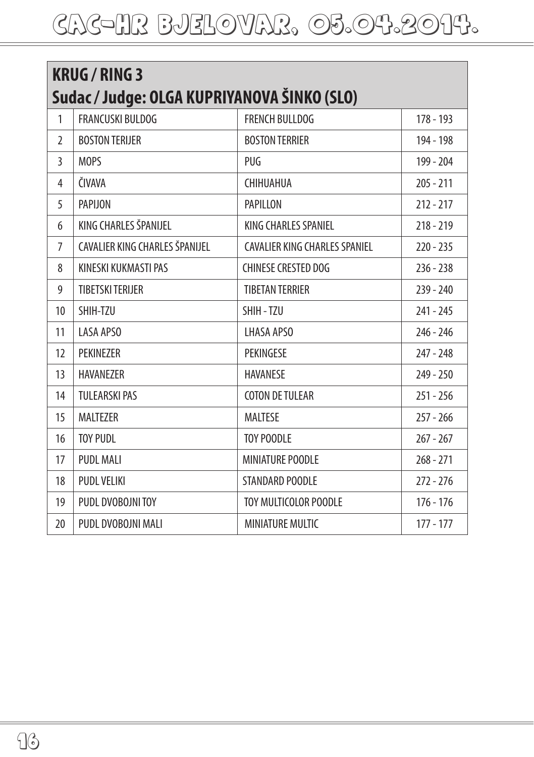| <b>KRUG / RING 3</b>                        |                                |                                      |             |  |
|---------------------------------------------|--------------------------------|--------------------------------------|-------------|--|
| Sudac / Judge: OLGA KUPRIYANOVA ŠINKO (SLO) |                                |                                      |             |  |
| 1                                           | <b>FRANCUSKI BULDOG</b>        | <b>FRENCH BULLDOG</b>                | $178 - 193$ |  |
| $\mathfrak{I}$                              | <b>BOSTON TERIJER</b>          | <b>BOSTON TERRIER</b>                | 194 - 198   |  |
| 3                                           | MOPS                           | PUG                                  | 199 - 204   |  |
| 4                                           | ČIVAVA                         | CHIHUAHUA                            | $205 - 211$ |  |
| 5                                           | PAPIJON                        | <b>PAPILLON</b>                      | $212 - 217$ |  |
| 6                                           | KING CHARLES ŠPANIJEL          | KING CHARLES SPANIEL                 | $218 - 219$ |  |
| $\overline{7}$                              | CAVALIER KING CHARLES ŠPANIJEL | <b>CAVALIER KING CHARLES SPANIEL</b> | $220 - 235$ |  |
| 8                                           | KINESKI KUKMASTI PAS           | <b>CHINESE CRESTED DOG</b>           | $236 - 238$ |  |
| 9                                           | <b>TIBETSKI TERIJER</b>        | <b>TIBETAN TERRIER</b>               | $239 - 240$ |  |
| 10                                          | SHIH-TZU                       | SHIH-TZU                             | $241 - 245$ |  |
| 11                                          | <b>LASA APSO</b>               | LHASA APSO                           | $246 - 246$ |  |
| 12                                          | PEKINEZER                      | PEKINGESE                            | $247 - 248$ |  |
| 13                                          | HAVANEZER                      | <b>HAVANESE</b>                      | $249 - 250$ |  |
| 14                                          | <b>TULEARSKI PAS</b>           | <b>COTON DE TULEAR</b>               | $251 - 256$ |  |
| 15                                          | <b>MALTEZER</b>                | <b>MALTESE</b>                       | $257 - 266$ |  |
| 16                                          | <b>TOY PUDL</b>                | <b>TOY POODLE</b>                    | $267 - 267$ |  |
| 17                                          | <b>PUDL MALI</b>               | MINIATURE POODLE                     | $268 - 271$ |  |
| 18                                          | PUDL VELIKI                    | STANDARD POODLE                      | $272 - 276$ |  |
| 19                                          | PUDL DVOBOJNI TOY              | TOY MULTICOLOR POODLE                | $176 - 176$ |  |
| 20                                          | PUDL DVOBOJNI MALI             | <b>MINIATURE MULTIC</b>              | $177 - 177$ |  |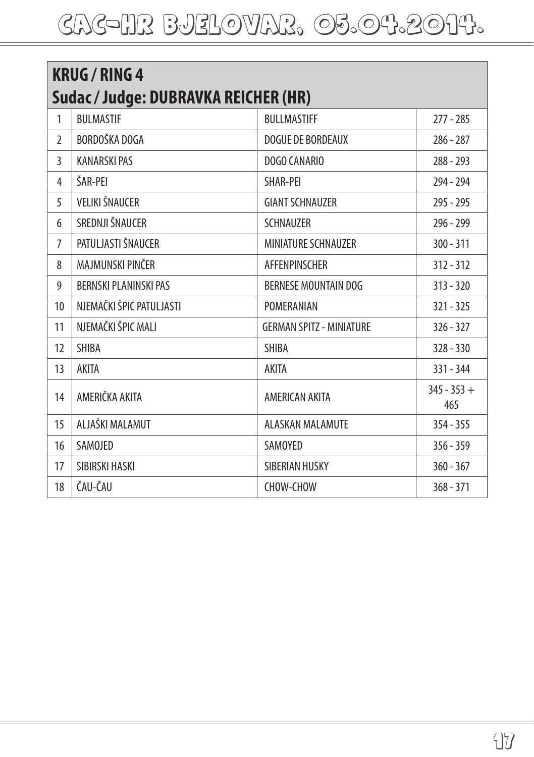| <b>KRUG / RING 4</b><br>Sudac / Judge: DUBRAVKA REICHER (HR) |                              |                                 |                      |
|--------------------------------------------------------------|------------------------------|---------------------------------|----------------------|
| 1                                                            | <b>BULMASTIF</b>             | <b>BULLMASTIFF</b>              | $277 - 285$          |
| $\mathfrak{I}$                                               | BORDOŠKA DOGA                | <b>DOGUE DE BORDEAUX</b>        | $286 - 287$          |
| 3                                                            | <b>KANARSKI PAS</b>          | DOGO CANARIO                    | $288 - 293$          |
| 4                                                            | ŠAR-PFI                      | <b>SHAR-PFI</b>                 | 294 - 294            |
| 5                                                            | VELIKI ŠNAUCER               | <b>GIANT SCHNAUZER</b>          | $295 - 295$          |
| 6                                                            | SREDNJI ŠNAUCER              | <b>SCHNAUZER</b>                | $296 - 299$          |
| $\overline{7}$                                               | PATULJASTI ŠNAUCER           | <b>MINIATURE SCHNAUZER</b>      | $300 - 311$          |
| 8                                                            | MAJMUNSKI PINČER             | <b>AFFENPINSCHER</b>            | $312 - 312$          |
| 9                                                            | <b>BERNSKI PLANINSKI PAS</b> | <b>BERNESE MOUNTAIN DOG</b>     | $313 - 320$          |
| 10                                                           | NJEMAČKI ŠPIC PATULJASTI     | POMERANIAN                      | $321 - 325$          |
| 11                                                           | NJEMAČKI ŠPIC MALI           | <b>GERMAN SPITZ - MINIATURE</b> | $326 - 327$          |
| 12                                                           | <b>SHIBA</b>                 | <b>SHIBA</b>                    | $328 - 330$          |
| 13                                                           | AKITA                        | AKITA                           | $331 - 344$          |
| 14                                                           | AMERIČKA AKITA               | <b>AMERICAN AKITA</b>           | $345 - 353 +$<br>465 |
| 15                                                           | ALJAŠKI MALAMUT              | <b>ALASKAN MALAMUTE</b>         | $354 - 355$          |
| 16                                                           | SAMOJED                      | SAMOYED                         | $356 - 359$          |
| 17                                                           | SIBIRSKI HASKI               | SIBERIAN HUSKY                  | $360 - 367$          |
| 18                                                           | ČAU-ČAU                      | CHOW-CHOW                       | $368 - 371$          |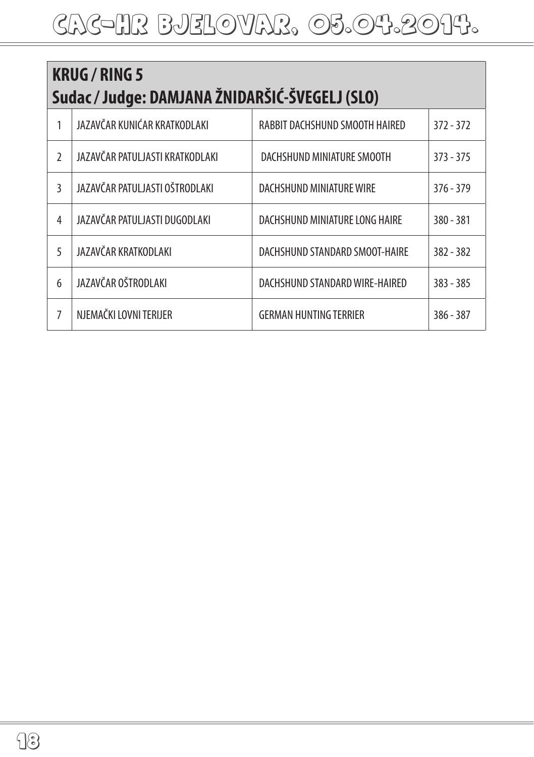| <b>KRUG / RING 5</b><br>Sudac / Judge: DAMJANA ŽNIDARŠIĆ-ŠVEGELJ (SLO) |                                 |                                |             |
|------------------------------------------------------------------------|---------------------------------|--------------------------------|-------------|
| 1                                                                      | JAZAVČAR KUNIĆAR KRATKODLAKI    | RABBIT DACHSHUND SMOOTH HAIRED | $372 - 372$ |
| $\mathfrak{I}$                                                         | JAZAVČAR PATULJASTI KRATKODLAKI | DACHSHUND MINIATURE SMOOTH     | $373 - 375$ |
| 3                                                                      | JAZAVČAR PATULJASTI OŠTRODLAKI  | DACHSHUND MINIATURE WIRE       | $376 - 379$ |
| 4                                                                      | JAZAVČAR PATULJASTI DUGODLAKI   | DACHSHUND MINIATURE LONG HAIRE | $380 - 381$ |
| 5                                                                      | JAZAVČAR KRATKODLAKI            | DACHSHUND STANDARD SMOOT-HAIRE | $382 - 382$ |
| 6                                                                      | JAZAVČAR OŠTRODLAKI             | DACHSHUND STANDARD WIRE-HAIRED | $383 - 385$ |
| 7                                                                      | NJEMAČKI LOVNI TERIJER          | <b>GERMAN HUNTING TERRIER</b>  | $386 - 387$ |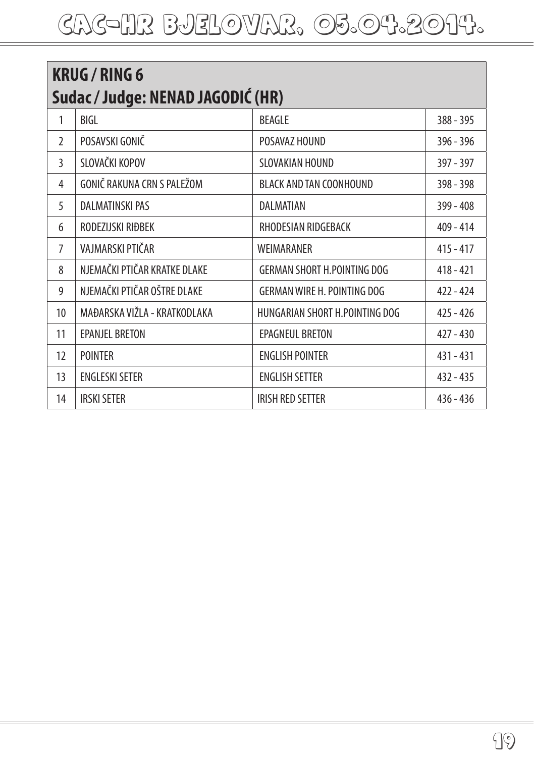| <b>KRUG / RING 6</b><br>Sudac / Judge: NENAD JAGODIĆ (HR) |                              |                                    |             |
|-----------------------------------------------------------|------------------------------|------------------------------------|-------------|
| 1                                                         | BIGL                         | <b>BEAGLE</b>                      | 388 - 395   |
| $\mathfrak{I}$                                            | POSAVSKI GONIČ               | POSAVAZ HOUND                      | 396 - 396   |
| 3                                                         | SLOVAČKI KOPOV               | SLOVAKIAN HOUND                    | $397 - 397$ |
| 4                                                         | GONIČ RAKUNA CRN S PALEŽOM   | <b>BLACK AND TAN COONHOUND</b>     | 398 - 398   |
| 5                                                         | <b>DALMATINSKI PAS</b>       | DALMATIAN                          | $399 - 408$ |
| 6                                                         | RODEZIJSKI RIĐBEK            | RHODESIAN RIDGEBACK                | $409 - 414$ |
| $\overline{7}$                                            | VAJMARSKI PTIČAR             | WEIMARANER                         | $415 - 417$ |
| 8                                                         | NJEMAČKI PTIČAR KRATKE DLAKE | <b>GERMAN SHORT H.POINTING DOG</b> | $418 - 421$ |
| 9                                                         | NJEMAČKI PTIČAR OŠTRE DLAKE  | <b>GERMAN WIRE H. POINTING DOG</b> | $422 - 424$ |
| 10                                                        | MAĐARSKA VIŽLA - KRATKODLAKA | HUNGARIAN SHORT H.POINTING DOG     | $425 - 426$ |
| 11                                                        | <b>EPANJEL BRETON</b>        | EPAGNEUL BRETON                    | $427 - 430$ |
| 12                                                        | <b>POINTER</b>               | <b>ENGLISH POINTER</b>             | $431 - 431$ |
| 13                                                        | <b>ENGLESKI SETER</b>        | <b>ENGLISH SETTER</b>              | $432 - 435$ |
| 14                                                        | <b>IRSKI SETER</b>           | <b>IRISH RED SETTER</b>            | $436 - 436$ |